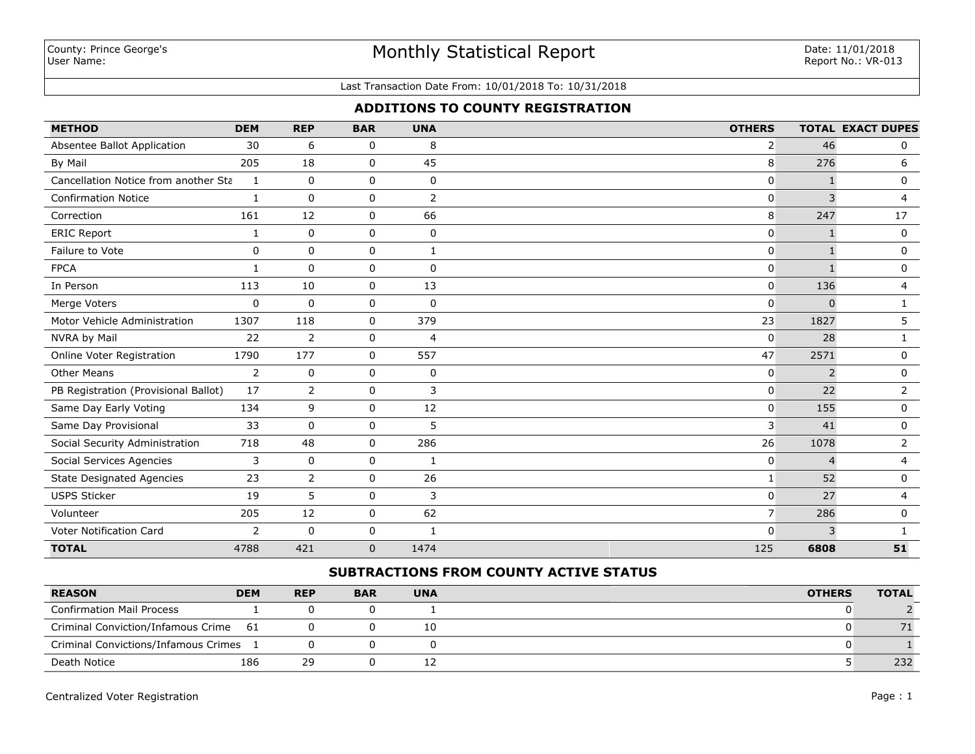# Monthly Statistical Report

#### Last Transaction Date From: 10/01/2018 To: 10/31/2018

## **ADDITIONS TO COUNTY REGISTRATION**

| <b>METHOD</b>                        | <b>DEM</b>   | <b>REP</b>     | <b>BAR</b>   | <b>UNA</b>     | <b>OTHERS</b>  |                | <b>TOTAL EXACT DUPES</b> |
|--------------------------------------|--------------|----------------|--------------|----------------|----------------|----------------|--------------------------|
| Absentee Ballot Application          | 30           | 6              | 0            | 8              | $\overline{2}$ | 46             | 0                        |
| By Mail                              | 205          | 18             | 0            | 45             | 8              | 276            | 6                        |
| Cancellation Notice from another Sta | 1            | $\mathbf 0$    | 0            | $\mathbf 0$    | 0              | $\mathbf{1}$   | $\mathbf 0$              |
| <b>Confirmation Notice</b>           | 1            | $\Omega$       | 0            | $\overline{2}$ | 0              | 3              | $\overline{4}$           |
| Correction                           | 161          | 12             | 0            | 66             | 8              | 247            | 17                       |
| <b>ERIC Report</b>                   | 1            | $\mathbf 0$    | 0            | 0              | 0              |                | 0                        |
| Failure to Vote                      | 0            | $\mathbf{0}$   | 0            | $\mathbf{1}$   | 0              |                | $\mathbf 0$              |
| <b>FPCA</b>                          | $\mathbf{1}$ | $\mathbf{0}$   | 0            | $\mathbf 0$    | $\mathbf 0$    |                | $\mathbf 0$              |
| In Person                            | 113          | 10             | 0            | 13             | 0              | 136            | $\overline{4}$           |
| Merge Voters                         | $\mathbf 0$  | $\Omega$       | 0            | $\mathbf 0$    | $\Omega$       | $\Omega$       | $\mathbf{1}$             |
| Motor Vehicle Administration         | 1307         | 118            | 0            | 379            | 23             | 1827           | 5                        |
| NVRA by Mail                         | 22           | $\overline{2}$ | 0            | $\overline{4}$ | 0              | 28             | 1                        |
| Online Voter Registration            | 1790         | 177            | 0            | 557            | 47             | 2571           | 0                        |
| <b>Other Means</b>                   | 2            | $\mathbf 0$    | 0            | 0              | 0              | 2              | $\mathbf 0$              |
| PB Registration (Provisional Ballot) | 17           | $\overline{2}$ | 0            | 3              | $\mathbf{0}$   | 22             | $\overline{2}$           |
| Same Day Early Voting                | 134          | 9              | 0            | 12             | $\mathbf{0}$   | 155            | $\mathbf 0$              |
| Same Day Provisional                 | 33           | $\mathbf 0$    | 0            | 5              | 3              | 41             | 0                        |
| Social Security Administration       | 718          | 48             | 0            | 286            | 26             | 1078           | $\overline{2}$           |
| Social Services Agencies             | 3            | 0              | 0            | 1              | 0              | $\overline{4}$ | 4                        |
| <b>State Designated Agencies</b>     | 23           | $\overline{2}$ | 0            | 26             | $\mathbf{1}$   | 52             | $\mathbf 0$              |
| <b>USPS Sticker</b>                  | 19           | 5              | 0            | 3              | $\mathbf 0$    | 27             | 4                        |
| Volunteer                            | 205          | 12             | 0            | 62             | 7 <sup>1</sup> | 286            | $\mathbf 0$              |
| Voter Notification Card              | 2            | 0              | 0            | $\mathbf{1}$   | $\mathbf{0}$   | 3              | -1                       |
| <b>TOTAL</b>                         | 4788         | 421            | $\mathbf{0}$ | 1474           | 125            | 6808           | 51                       |

## **SUBTRACTIONS FROM COUNTY ACTIVE STATUS**

| <b>REASON</b>                         | <b>DEM</b> | <b>REP</b> | <b>BAR</b> | <b>UNA</b> | <b>OTHERS</b> | <b>TOTAL</b> |
|---------------------------------------|------------|------------|------------|------------|---------------|--------------|
| <b>Confirmation Mail Process</b>      |            |            |            |            |               |              |
| Criminal Conviction/Infamous Crime 61 |            |            |            | 10         |               |              |
| Criminal Convictions/Infamous Crimes  |            |            |            |            |               |              |
| Death Notice                          | 186        | 29         |            | ∸∸         |               | 232          |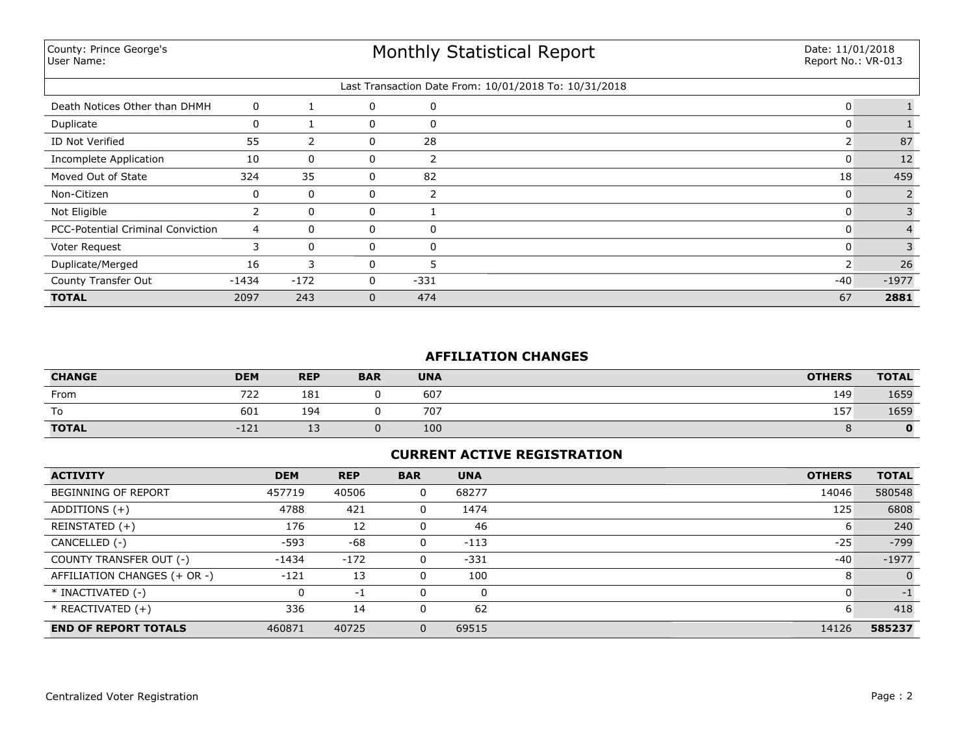County: Prince George's User Name:

| Last Transaction Date From: 10/01/2018 To: 10/31/2018 |         |             |   |          |       |         |  |  |
|-------------------------------------------------------|---------|-------------|---|----------|-------|---------|--|--|
| Death Notices Other than DHMH                         | 0       |             | 0 | 0        |       |         |  |  |
| Duplicate                                             | 0       |             | 0 | 0        |       |         |  |  |
| ID Not Verified                                       | 55      |             | 0 | 28       |       | 87      |  |  |
| Incomplete Application                                | 10      | 0           | 0 |          |       | 12      |  |  |
| Moved Out of State                                    | 324     | 35          | 0 | 82       | 18    | 459     |  |  |
| Non-Citizen                                           | 0       | $\mathbf 0$ | 0 |          |       |         |  |  |
| Not Eligible                                          |         | $\mathbf 0$ | 0 |          |       |         |  |  |
| <b>PCC-Potential Criminal Conviction</b>              | 4       | $\Omega$    | 0 | $\Omega$ |       |         |  |  |
| Voter Request                                         |         | $\Omega$    | 0 | $\Omega$ |       |         |  |  |
| Duplicate/Merged                                      | 16      | 3           | 0 |          |       | 26      |  |  |
| County Transfer Out                                   | $-1434$ | $-172$      | 0 | $-331$   | $-40$ | $-1977$ |  |  |
| <b>TOTAL</b>                                          | 2097    | 243         | 0 | 474      | 67    | 2881    |  |  |

## **AFFILIATION CHANGES**

| <b>CHANGE</b> | <b>DEM</b> | <b>REP</b> | <b>BAR</b> | <b>UNA</b> | <b>OTHERS</b> | <b>TOTAL</b> |
|---------------|------------|------------|------------|------------|---------------|--------------|
| From          | 722        | 181        |            | 607        | 149           | 1659         |
| To            | 601        | 194        |            | 707        | 157           | 1659         |
| <b>TOTAL</b>  | $-121$     | ∸~         |            | 100        |               | 0            |

## **CURRENT ACTIVE REGISTRATION**

| <b>ACTIVITY</b>              | <b>DEM</b> | <b>REP</b> | <b>BAR</b> | <b>UNA</b> | <b>OTHERS</b> | <b>TOTAL</b> |
|------------------------------|------------|------------|------------|------------|---------------|--------------|
| <b>BEGINNING OF REPORT</b>   | 457719     | 40506      | 0          | 68277      | 14046         | 580548       |
| ADDITIONS $(+)$              | 4788       | 421        | 0          | 1474       | 125           | 6808         |
| REINSTATED (+)               | 176        | 12         | 0          | 46         | 6             | 240          |
| CANCELLED (-)                | $-593$     | -68        | 0          | $-113$     | $-25$         | $-799$       |
| COUNTY TRANSFER OUT (-)      | $-1434$    | $-172$     | 0          | $-331$     | $-40$         | $-1977$      |
| AFFILIATION CHANGES (+ OR -) | $-121$     | -13        | 0          | 100        | 8             | $\Omega$     |
| * INACTIVATED (-)            |            | $-1$       | 0          | 0          | O             | $-1$         |
| $*$ REACTIVATED $(+)$        | 336        | 14         | 0          | 62         | 6             | 418          |
| <b>END OF REPORT TOTALS</b>  | 460871     | 40725      | 0          | 69515      | 14126         | 585237       |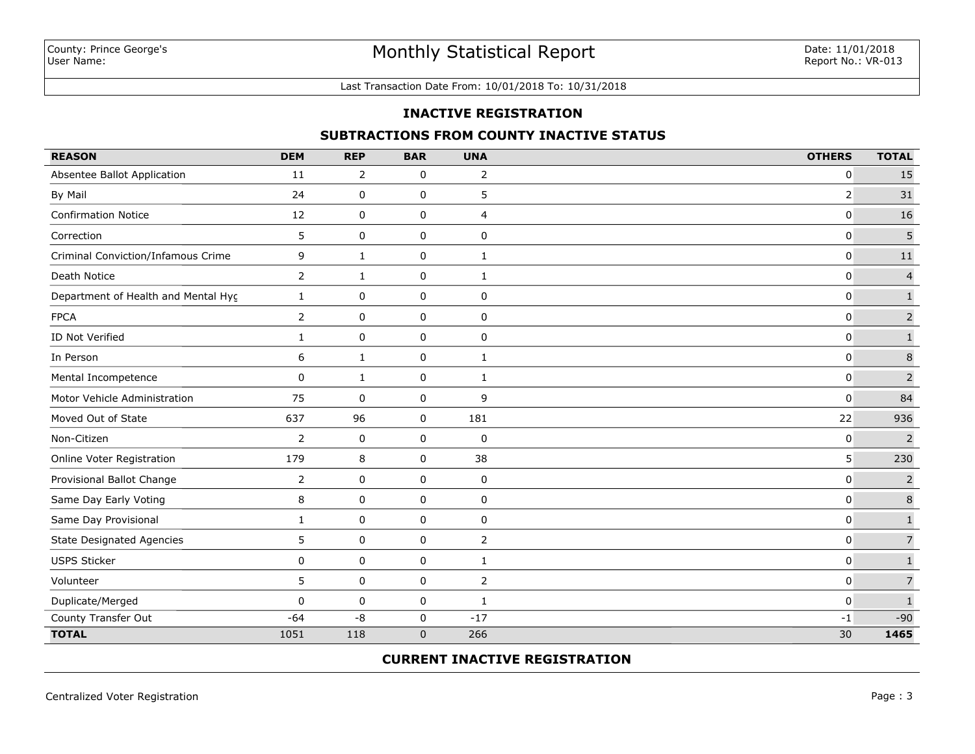#### Last Transaction Date From: 10/01/2018 To: 10/31/2018

### **INACTIVE REGISTRATION**

### **SUBTRACTIONS FROM COUNTY INACTIVE STATUS**

| <b>REASON</b>                       | <b>DEM</b>     | <b>REP</b>   | <b>BAR</b>  | <b>UNA</b>     | <b>OTHERS</b>  | <b>TOTAL</b>   |
|-------------------------------------|----------------|--------------|-------------|----------------|----------------|----------------|
| Absentee Ballot Application         | 11             | 2            | 0           | $\overline{2}$ | $\mathbf 0$    | 15             |
| By Mail                             | 24             | $\mathsf 0$  | $\mathsf 0$ | 5              | $\overline{2}$ | 31             |
| <b>Confirmation Notice</b>          | 12             | 0            | 0           | 4              | 0              | 16             |
| Correction                          | 5              | 0            | 0           | 0              | 0              | 5              |
| Criminal Conviction/Infamous Crime  | 9              | $\mathbf{1}$ | 0           | 1              | $\mathbf 0$    | $11\,$         |
| Death Notice                        | $\mathbf{2}$   | $\mathbf{1}$ | 0           | 1              | $\mathbf{0}$   | $\overline{4}$ |
| Department of Health and Mental Hyc | $\mathbf{1}$   | 0            | 0           | 0              | $\mathbf 0$    | $\mathbf 1$    |
| <b>FPCA</b>                         | $\overline{2}$ | 0            | 0           | $\pmb{0}$      | $\mathbf 0$    | $\mathsf{2}$   |
| ID Not Verified                     | $\mathbf{1}$   | $\mathbf 0$  | 0           | $\pmb{0}$      | $\mathbf 0$    | $\mathbf 1$    |
| In Person                           | 6              | 1            | 0           | 1              | $\mathbf{0}$   | $\,$ 8 $\,$    |
| Mental Incompetence                 | $\mathbf{0}$   | 1            | 0           | $\mathbf{1}$   | $\mathbf{0}$   | $\overline{2}$ |
| Motor Vehicle Administration        | 75             | 0            | 0           | 9              | $\Omega$       | 84             |
| Moved Out of State                  | 637            | 96           | 0           | 181            | 22             | 936            |
| Non-Citizen                         | $\overline{2}$ | 0            | $\pmb{0}$   | $\pmb{0}$      | $\mathbf 0$    | $\overline{2}$ |
| Online Voter Registration           | 179            | 8            | $\mathbf 0$ | 38             | 5              | 230            |
| Provisional Ballot Change           | 2              | 0            | 0           | $\mathbf 0$    | $\mathbf 0$    | $\overline{2}$ |
| Same Day Early Voting               | 8              | $\mathbf 0$  | $\mathsf 0$ | $\pmb{0}$      | 0              | $\bf 8$        |
| Same Day Provisional                | 1              | 0            | 0           | 0              | $\mathbf 0$    | $\mathbf 1$    |
| <b>State Designated Agencies</b>    | 5              | 0            | 0           | 2              | $\mathbf 0$    | $\overline{7}$ |
| <b>USPS Sticker</b>                 | $\mathbf 0$    | 0            | 0           | $\mathbf{1}$   | $\mathbf 0$    | $\mathbf 1$    |
| Volunteer                           | 5              | $\mathbf 0$  | 0           | 2              | $\mathbf 0$    | $\overline{7}$ |
| Duplicate/Merged                    | $\mathbf{0}$   | 0            | 0           | $\mathbf{1}$   | $\mathbf 0$    | $\mathbf 1$    |
| County Transfer Out                 | $-64$          | $-8$         | $\mathbf 0$ | $-17$          | $-1$           | $-90$          |
| <b>TOTAL</b>                        | 1051           | 118          | $\mathbf 0$ | 266            | 30             | 1465           |

## **CURRENT INACTIVE REGISTRATION**